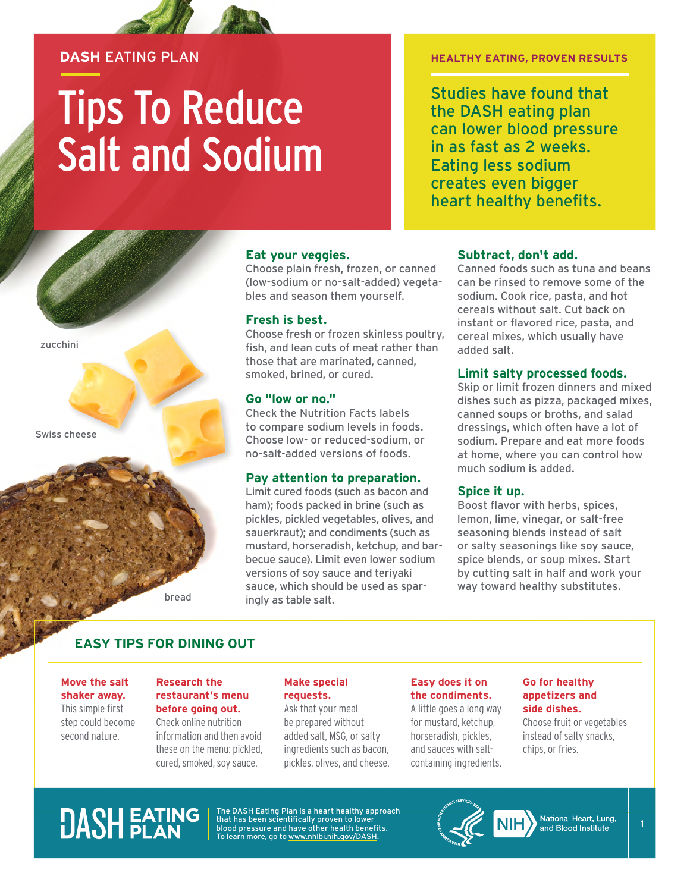#### **DASH** EATING PLAN

# Tips To Reduce Salt and Sodium

#### **HEALTHY EATING, PROVEN RESULTS**

Studies have found that the DASH eating plan can lower blood pressure in as fast as 2 weeks. Eating less sodium creates even bigger heart healthy benefits.

#### **Eat your veggies.**

Choose plain fresh, frozen, or canned (low-sodium or no-salt-added) vegetables and season them yourself.

#### **Fresh is best.**

Choose fresh or frozen skinless poultry, fish, and lean cuts of meat rather than those that are marinated, canned, smoked, brined, or cured.

#### **Go "low or no."**

Check the Nutrition Facts labels to compare sodium levels in foods. Choose low- or reduced-sodium, or no-salt-added versions of foods.

#### **Pay attention to preparation.**

Limit cured foods (such as bacon and ham); foods packed in brine (such as pickles, pickled vegetables, olives, and sauerkraut); and condiments (such as mustard, horseradish, ketchup, and barbecue sauce). Limit even lower sodium versions of soy sauce and teriyaki sauce, which should be used as sparingly as table salt.

#### **Subtract, don't add.**

Canned foods such as tuna and beans can be rinsed to remove some of the sodium. Cook rice, pasta, and hot cereals without salt. Cut back on instant or flavored rice, pasta, and cereal mixes, which usually have added salt.

#### **Limit salty processed foods.**

Skip or limit frozen dinners and mixed dishes such as pizza, packaged mixes, canned soups or broths, and salad dressings, which often have a lot of sodium. Prepare and eat more foods at home, where you can control how much sodium is added.

#### **Spice it up.**

Boost flavor with herbs, spices, lemon, lime, vinegar, or salt-free seasoning blends instead of salt or salty seasonings like soy sauce, spice blends, or soup mixes. Start by cutting salt in half and work your way toward healthy substitutes.

bread

#### **EASY TIPS FOR DINING OUT**

**Move the salt shaker away.** This simple first step could become second nature.

zucchini

Swiss cheese

#### **Research the restaurant's menu before going out.**

Check online nutrition information and then avoid these on the menu: pickled, cured, smoked, soy sauce.

#### **Make special requests.**

Ask that your meal be prepared without added salt, MSG, or salty ingredients such as bacon, pickles, olives, and cheese.

#### **Easy does it on the condiments.**

A little goes a long way for mustard, ketchup, horseradish, pickles, and sauces with saltcontaining ingredients.

#### **Go for healthy appetizers and side dishes.**

Choose fruit or vegetables instead of salty snacks, chips, or fries.

## **DASH EATING**

The DASH Eating Plan is a heart healthy approach that has been scientifically proven to lower blood pressure and have other health benefits. To learn more, go to [www.nhlbi.nih.gov/DASH.](http://www.nhlbi.nih.gov/DASH)



**1**